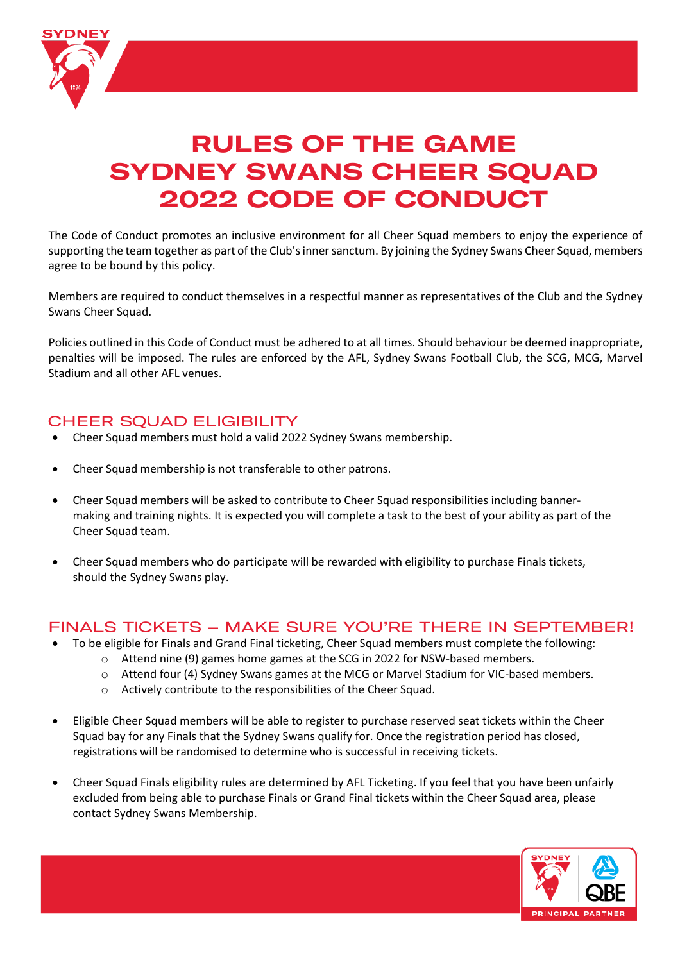

# **RULES OF THE GAME SYDNEY SWANS CHEER SQUAD 2022 CODE OF CONDUCT**

The Code of Conduct promotes an inclusive environment for all Cheer Squad members to enjoy the experience of supporting the team together as part of the Club's inner sanctum. By joining the Sydney Swans Cheer Squad, members agree to be bound by this policy.

Members are required to conduct themselves in a respectful manner as representatives of the Club and the Sydney Swans Cheer Squad.

Policies outlined in this Code of Conduct must be adhered to at all times. Should behaviour be deemed inappropriate, penalties will be imposed. The rules are enforced by the AFL, Sydney Swans Football Club, the SCG, MCG, Marvel Stadium and all other AFL venues.

# **CHEER SQUAD ELIGIBILITY**

- Cheer Squad members must hold a valid 2022 Sydney Swans membership.
- Cheer Squad membership is not transferable to other patrons.
- Cheer Squad members will be asked to contribute to Cheer Squad responsibilities including bannermaking and training nights. It is expected you will complete a task to the best of your ability as part of the Cheer Squad team.
- Cheer Squad members who do participate will be rewarded with eligibility to purchase Finals tickets, should the Sydney Swans play.

## FINALS TICKETS - MAKE SURE YOU'RE THERE IN SEPTEMBER!

- To be eligible for Finals and Grand Final ticketing, Cheer Squad members must complete the following:
	- o Attend nine (9) games home games at the SCG in 2022 for NSW-based members.
	- o Attend four (4) Sydney Swans games at the MCG or Marvel Stadium for VIC-based members.
	- o Actively contribute to the responsibilities of the Cheer Squad.
- Eligible Cheer Squad members will be able to register to purchase reserved seat tickets within the Cheer Squad bay for any Finals that the Sydney Swans qualify for. Once the registration period has closed, registrations will be randomised to determine who is successful in receiving tickets.
- Cheer Squad Finals eligibility rules are determined by AFL Ticketing. If you feel that you have been unfairly excluded from being able to purchase Finals or Grand Final tickets within the Cheer Squad area, please contact Sydney Swans Membership.

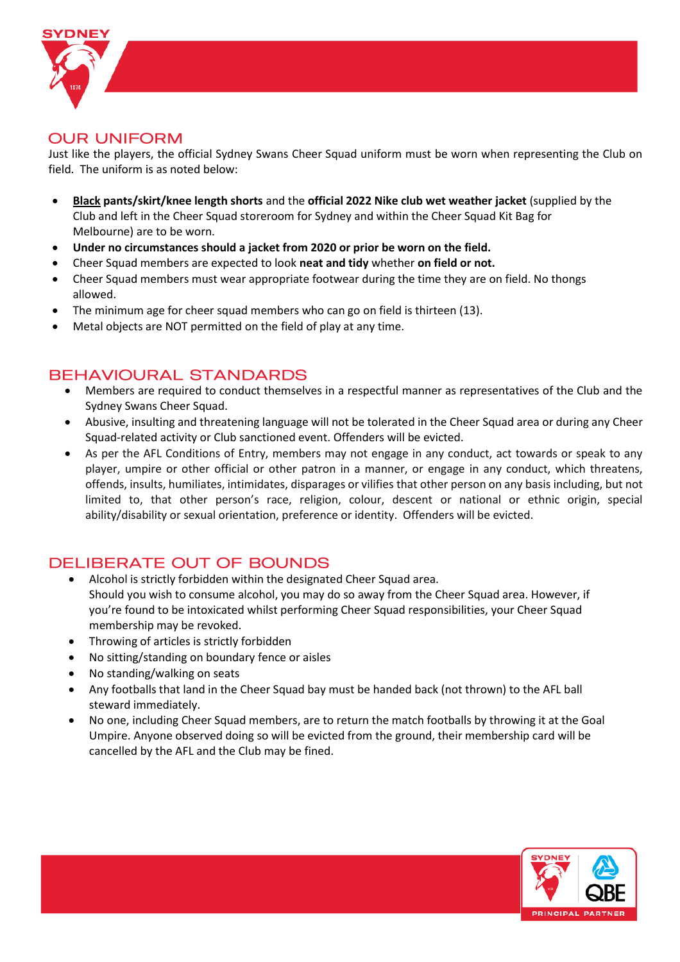

## **OUR UNIFORM**

Just like the players, the official Sydney Swans Cheer Squad uniform must be worn when representing the Club on field. The uniform is as noted below:

- **Black pants/skirt/knee length shorts** and the **official 2022 Nike club wet weather jacket** (supplied by the Club and left in the Cheer Squad storeroom for Sydney and within the Cheer Squad Kit Bag for Melbourne) are to be worn.
- **Under no circumstances should a jacket from 2020 or prior be worn on the field.**
- Cheer Squad members are expected to look **neat and tidy** whether **on field or not.**
- Cheer Squad members must wear appropriate footwear during the time they are on field. No thongs allowed.
- The minimum age for cheer squad members who can go on field is thirteen (13).
- Metal objects are NOT permitted on the field of play at any time.

# **BEHAVIOURAL STANDARDS**

- Members are required to conduct themselves in a respectful manner as representatives of the Club and the Sydney Swans Cheer Squad.
- Abusive, insulting and threatening language will not be tolerated in the Cheer Squad area or during any Cheer Squad-related activity or Club sanctioned event. Offenders will be evicted.
- As per the AFL Conditions of Entry, members may not engage in any conduct, act towards or speak to any player, umpire or other official or other patron in a manner, or engage in any conduct, which threatens, offends, insults, humiliates, intimidates, disparages or vilifies that other person on any basis including, but not limited to, that other person's race, religion, colour, descent or national or ethnic origin, special ability/disability or sexual orientation, preference or identity. Offenders will be evicted.

# DELIBERATE OUT OF BOUNDS

- Alcohol is strictly forbidden within the designated Cheer Squad area. Should you wish to consume alcohol, you may do so away from the Cheer Squad area. However, if you're found to be intoxicated whilst performing Cheer Squad responsibilities, your Cheer Squad membership may be revoked.
- Throwing of articles is strictly forbidden
- No sitting/standing on boundary fence or aisles
- No standing/walking on seats
- Any footballs that land in the Cheer Squad bay must be handed back (not thrown) to the AFL ball steward immediately.
- No one, including Cheer Squad members, are to return the match footballs by throwing it at the Goal Umpire. Anyone observed doing so will be evicted from the ground, their membership card will be cancelled by the AFL and the Club may be fined.

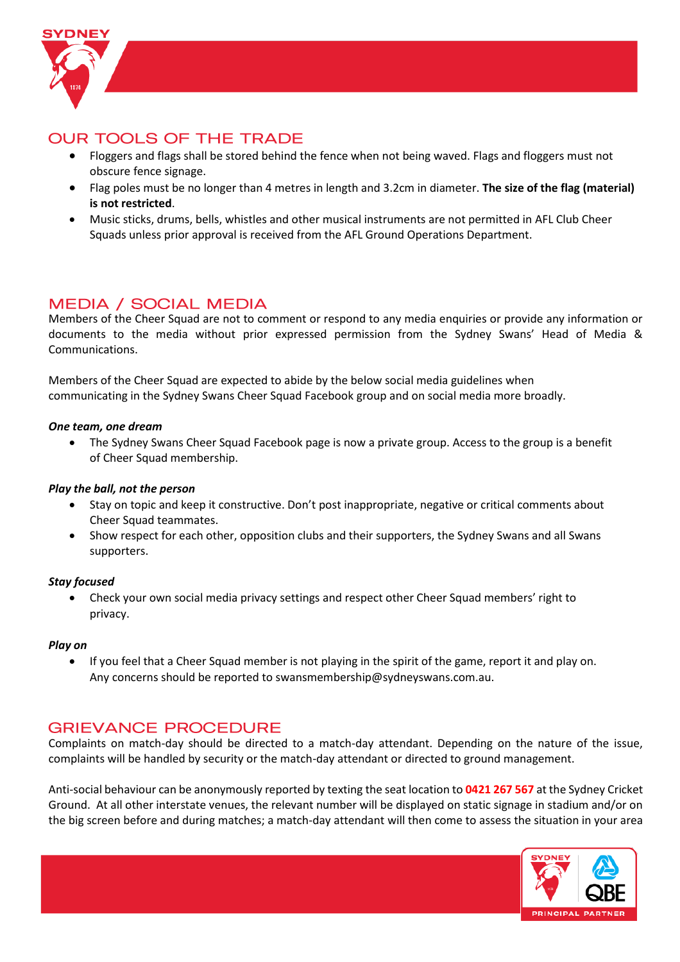

# **OUR TOOLS OF THE TRADE**

- Floggers and flags shall be stored behind the fence when not being waved. Flags and floggers must not obscure fence signage.
- Flag poles must be no longer than 4 metres in length and 3.2cm in diameter. **The size of the flag (material) is not restricted**.
- Music sticks, drums, bells, whistles and other musical instruments are not permitted in AFL Club Cheer Squads unless prior approval is received from the AFL Ground Operations Department.

# **MEDIA / SOCIAL MEDIA**

Members of the Cheer Squad are not to comment or respond to any media enquiries or provide any information or documents to the media without prior expressed permission from the Sydney Swans' Head of Media & Communications.

Members of the Cheer Squad are expected to abide by the below social media guidelines when communicating in the Sydney Swans Cheer Squad Facebook group and on social media more broadly.

#### *One team, one dream*

• The Sydney Swans Cheer Squad Facebook page is now a private group. Access to the group is a benefit of Cheer Squad membership.

### *Play the ball, not the person*

- Stay on topic and keep it constructive. Don't post inappropriate, negative or critical comments about Cheer Squad teammates.
- Show respect for each other, opposition clubs and their supporters, the Sydney Swans and all Swans supporters.

#### *Stay focused*

• Check your own social media privacy settings and respect other Cheer Squad members' right to privacy.

#### *Play on*

• If you feel that a Cheer Squad member is not playing in the spirit of the game, report it and play on. Any concerns should be reported to swansmembership@sydneyswans.com.au.

# **GRIEVANCE PROCEDURE**

Complaints on match-day should be directed to a match-day attendant. Depending on the nature of the issue, complaints will be handled by security or the match-day attendant or directed to ground management.

Anti-social behaviour can be anonymously reported by texting the seat location to **0421 267 567** at the Sydney Cricket Ground. At all other interstate venues, the relevant number will be displayed on static signage in stadium and/or on the big screen before and during matches; a match-day attendant will then come to assess the situation in your area